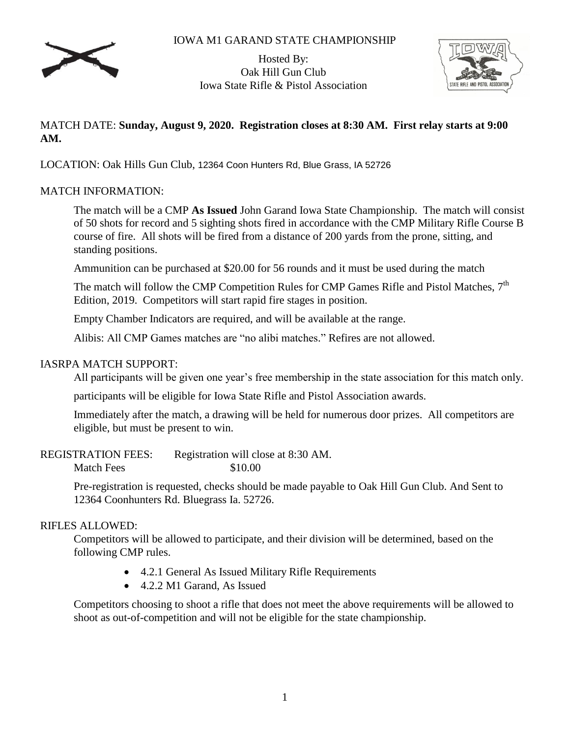# IOWA M1 GARAND STATE CHAMPIONSHIP



Hosted By: Oak Hill Gun Club Iowa State Rifle & Pistol Association



# MATCH DATE: **Sunday, August 9, 2020. Registration closes at 8:30 AM. First relay starts at 9:00 AM.**

LOCATION: Oak Hills Gun Club, 12364 Coon Hunters Rd, Blue Grass, IA 52726

# MATCH INFORMATION:

The match will be a CMP **As Issued** John Garand Iowa State Championship. The match will consist of 50 shots for record and 5 sighting shots fired in accordance with the CMP Military Rifle Course B course of fire. All shots will be fired from a distance of 200 yards from the prone, sitting, and standing positions.

Ammunition can be purchased at \$20.00 for 56 rounds and it must be used during the match

The match will follow the CMP Competition Rules for CMP Games Rifle and Pistol Matches, 7<sup>th</sup> Edition, 2019. Competitors will start rapid fire stages in position.

Empty Chamber Indicators are required, and will be available at the range.

Alibis: All CMP Games matches are "no alibi matches." Refires are not allowed.

# IASRPA MATCH SUPPORT:

All participants will be given one year's free membership in the state association for this match only.

participants will be eligible for Iowa State Rifle and Pistol Association awards.

Immediately after the match, a drawing will be held for numerous door prizes. All competitors are eligible, but must be present to win.

REGISTRATION FEES: Registration will close at 8:30 AM. Match Fees \$10.00

> Pre-registration is requested, checks should be made payable to Oak Hill Gun Club. And Sent to 12364 Coonhunters Rd. Bluegrass Ia. 52726.

#### RIFLES ALLOWED:

Competitors will be allowed to participate, and their division will be determined, based on the following CMP rules.

- 4.2.1 General As Issued Military Rifle Requirements
- 4.2.2 M1 Garand, As Issued

Competitors choosing to shoot a rifle that does not meet the above requirements will be allowed to shoot as out-of-competition and will not be eligible for the state championship.